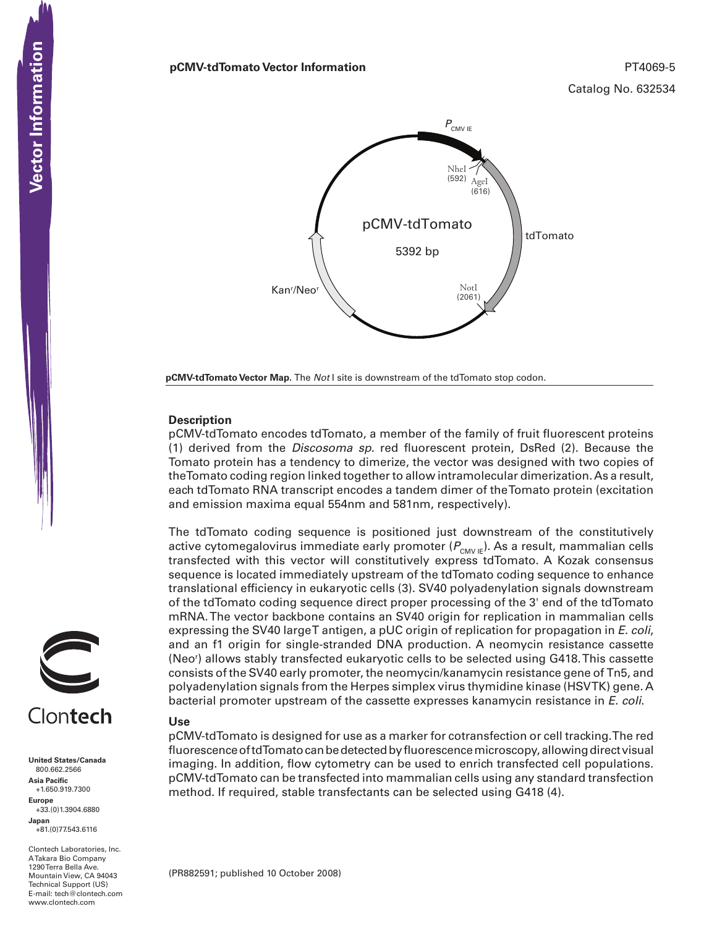#### **pCMV-tdTomato Vector Information** PT4069-5



**pCMV-tdTomato Vector Map.** The *Not* I site is downstream of the tdTomato stop codon.

### **Description**

pCMV-tdTomato encodes tdTomato, a member of the family of fruit fluorescent proteins (1) derived from the *Discosoma sp.* red fluorescent protein, DsRed (2). Because the Tomato protein has a tendency to dimerize, the vector was designed with two copies of the Tomato coding region linked together to allow intramolecular dimerization. As a result, each tdTomato RNA transcript encodes a tandem dimer of the Tomato protein (excitation and emission maxima equal 554nm and 581nm, respectively).

The tdTomato coding sequence is positioned just downstream of the constitutively active cytomegalovirus immediate early promoter ( $P_{\text{CMVE}}$ ). As a result, mammalian cells transfected with this vector will constitutively express tdTomato. A Kozak consensus sequence is located immediately upstream of the tdTomato coding sequence to enhance translational efficiency in eukaryotic cells (3). SV40 polyadenylation signals downstream of the tdTomato coding sequence direct proper processing of the 3' end of the tdTomato mRNA. The vector backbone contains an SV40 origin for replication in mammalian cells expressing the SV40 large T antigen, a pUC origin of replication for propagation in *E. coli*, and an f1 origin for single-stranded DNA production. A neomycin resistance cassette (Neor ) allows stably transfected eukaryotic cells to be selected using G418. This cassette consists of the SV40 early promoter, the neomycin/kanamycin resistance gene of Tn5, and polyadenylation signals from the Herpes simplex virus thymidine kinase (HSVTK) gene. A bacterial promoter upstream of the cassette expresses kanamycin resistance in *E. coli*.

# **Use**

pCMV-tdTomato is designed for use as a marker for cotransfection or cell tracking. The red fluorescence of tdTomato can be detected by fluorescence microscopy, allowing direct visual imaging. In addition, flow cytometry can be used to enrich transfected cell populations. pCMV-tdTomato can be transfected into mammalian cells using any standard transfection method. If required, stable transfectants can be selected using G418 (4).



**United States/Canada** 800.662.2566 **Asia Pacific** +1.650.919.7300 **Europe** +33.(0)1.3904.6880 **Japan** +81.(0)77.543.6116

Clontech Laboratories, Inc. A Takara Bio Company 1290 Terra Bella Ave. Mountain View, CA 94043 Technical Support (US) E-mail: tech@clontech.com<br>www.clontech.com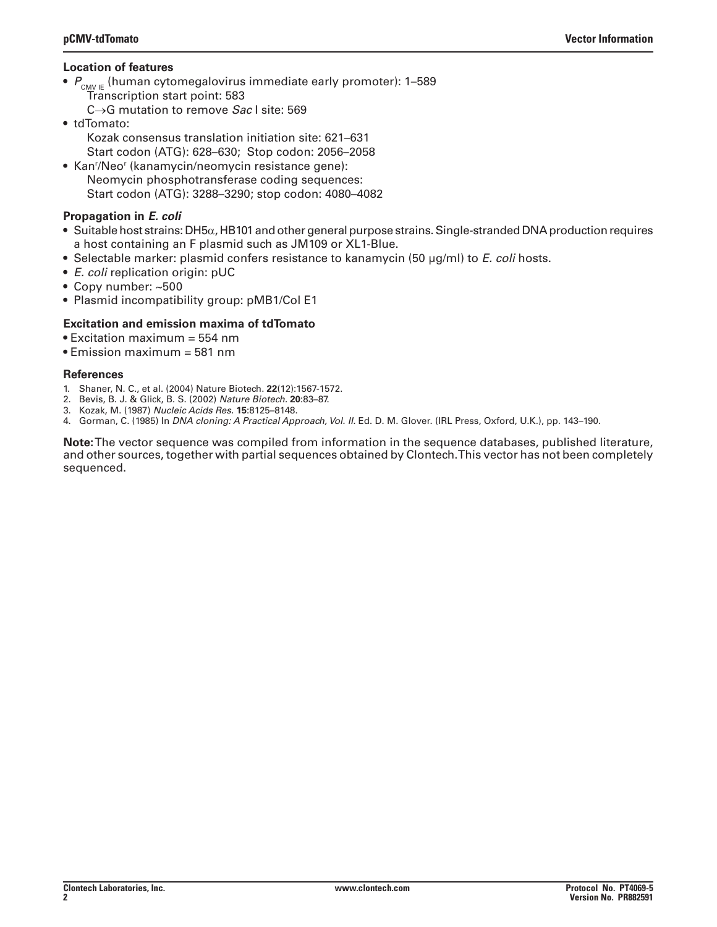### **Location of features**

- $P_{\text{CMVE}}$  (human cytomegalovirus immediate early promoter): 1–589 Transcription start point: 583
	- C→G mutation to remove *Sac* I site: 569
- tdTomato:
	- Kozak consensus translation initiation site: 621–631 Start codon (ATG): 628–630; Stop codon: 2056–2058
- Kan'/Neo' (kanamycin/neomycin resistance gene): Neomycin phosphotransferase coding sequences:
	- Start codon (ATG): 3288–3290; stop codon: 4080–4082

## **Propagation in** *E. coli*

- Suitable host strains: DH5 $\alpha$ , HB101 and other general purpose strains. Single-stranded DNA production requires a host containing an F plasmid such as JM109 or XL1-Blue.
- • Selectable marker: plasmid confers resistance to kanamycin (50 µg/ml) to *E. coli* hosts.
- *E. coli* replication origin: pUC
- Copy number: ~500
- Plasmid incompatibility group: pMB1/Col E1

## **Excitation and emission maxima of tdTomato**

- Excitation maximum = 554 nm
- Emission maximum = 581 nm

#### **References**

- 1. Shaner, N. C., et al. (2004) Nature Biotech. **22**(12):1567-1572.
- 2. Bevis, B. J. & Glick, B. S. (2002) *Nature Biotech.* **20**:83–87.
- 3. Kozak, M. (1987) *Nucleic Acids Res.* **15**:8125–8148.
- 4. Gorman, C. (1985) In *DNA cloning: A Practical Approach, Vol. II.* Ed. D. M. Glover. (IRL Press, Oxford, U.K.), pp. 143–190.

**Note:** The vector sequence was compiled from information in the sequence databases, published literature, and other sources, together with partial sequences obtained by Clontech. This vector has not been completely sequenced.